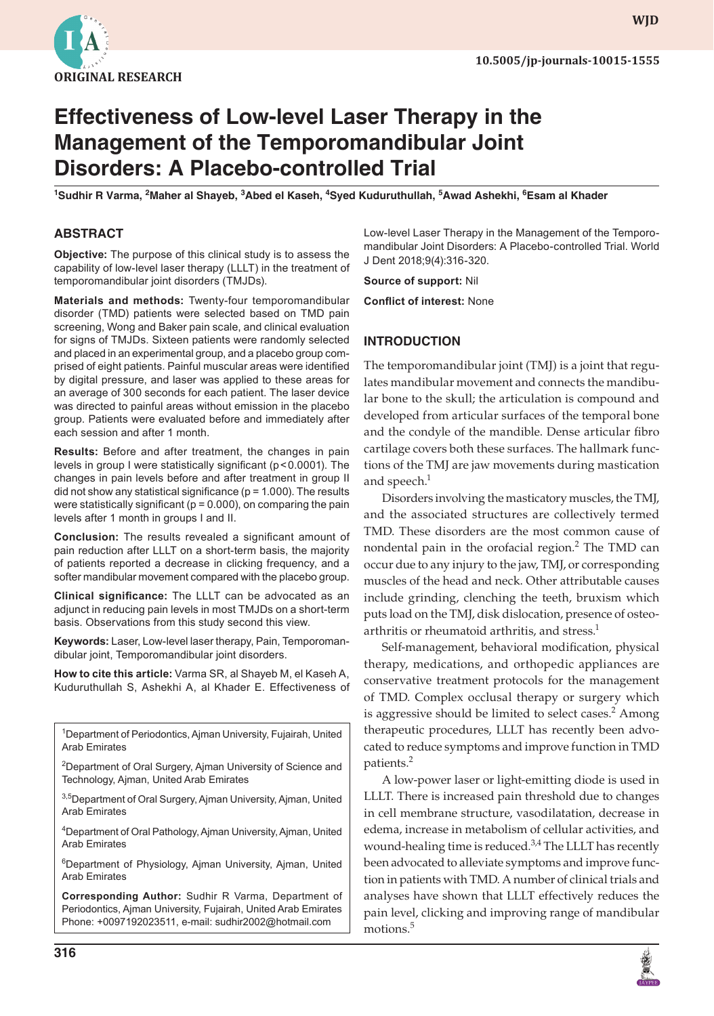

**WJD**

# **Effectiveness of Low-level Laser Therapy in the Management of the Temporomandibular Joint Disorders: A Placebo-controlled Trial**

<sup>1</sup>Sudhir R Varma, <sup>2</sup>Maher al Shayeb, <sup>3</sup>Abed el Kaseh, <sup>4</sup>Syed Kuduruthullah, <sup>5</sup>Awad Ashekhi, <sup>6</sup>Esam al Khader

#### **ABSTRACT**

**Objective:** The purpose of this clinical study is to assess the capability of low-level laser therapy (LLLT) in the treatment of temporomandibular joint disorders (TMJDs).

**Materials and methods:** Twenty-four temporomandibular disorder (TMD) patients were selected based on TMD pain screening, Wong and Baker pain scale, and clinical evaluation for signs of TMJDs. Sixteen patients were randomly selected and placed in an experimental group, and a placebo group comprised of eight patients. Painful muscular areas were identified by digital pressure, and laser was applied to these areas for an average of 300 seconds for each patient. The laser device was directed to painful areas without emission in the placebo group. Patients were evaluated before and immediately after each session and after 1 month.

**Results:** Before and after treatment, the changes in pain levels in group I were statistically significant (p<0.0001). The changes in pain levels before and after treatment in group II did not show any statistical significance ( $p = 1.000$ ). The results were statistically significant ( $p = 0.000$ ), on comparing the pain levels after 1 month in groups I and II.

**Conclusion:** The results revealed a significant amount of pain reduction after LLLT on a short-term basis, the majority of patients reported a decrease in clicking frequency, and a softer mandibular movement compared with the placebo group.

**Clinical significance:** The LLLT can be advocated as an adjunct in reducing pain levels in most TMJDs on a short-term basis. Observations from this study second this view.

**Keywords:** Laser, Low-level laser therapy, Pain, Temporomandibular joint, Temporomandibular joint disorders.

**How to cite this article:** Varma SR, al Shayeb M, el Kaseh A, Kuduruthullah S, Ashekhi A, al Khader E. Effectiveness of

<sup>1</sup>Department of Periodontics, Ajman University, Fujairah, United Arab Emirates

<sup>2</sup>Department of Oral Surgery, Ajman University of Science and Technology, Ajman, United Arab Emirates

3,5 Department of Oral Surgery, Ajman University, Ajman, United Arab Emirates

4 Department of Oral Pathology, Ajman University, Ajman, United Arab Emirates

6 Department of Physiology, Ajman University, Ajman, United Arab Emirates

**Corresponding Author:** Sudhir R Varma, Department of Periodontics, Ajman University, Fujairah, United Arab Emirates Phone: +0097192023511, e-mail: sudhir2002@hotmail.com

Low-level Laser Therapy in the Management of the Temporomandibular Joint Disorders: A Placebo-controlled Trial. World J Dent 2018;9(4):316-320.

**Source of support:** Nil

**Conflict of interest:** None

#### **INTRODUCTION**

The temporomandibular joint (TMJ) is a joint that regulates mandibular movement and connects the mandibular bone to the skull; the articulation is compound and developed from articular surfaces of the temporal bone and the condyle of the mandible. Dense articular fibro cartilage covers both these surfaces. The hallmark functions of the TMJ are jaw movements during mastication and speech.<sup>1</sup>

Disorders involving the masticatory muscles, the TMJ, and the associated structures are collectively termed TMD. These disorders are the most common cause of nondental pain in the orofacial region.<sup>2</sup> The TMD can occur due to any injury to the jaw, TMJ, or corresponding muscles of the head and neck. Other attributable causes include grinding, clenching the teeth, bruxism which puts load on the TMJ, disk dislocation, presence of osteoarthritis or rheumatoid arthritis, and stress.<sup>1</sup>

Self-management, behavioral modification, physical therapy, medications, and orthopedic appliances are conservative treatment protocols for the management of TMD. Complex occlusal therapy or surgery which is aggressive should be limited to select cases.<sup>2</sup> Among therapeutic procedures, LLLT has recently been advocated to reduce symptoms and improve function in TMD patients.<sup>2</sup>

A low-power laser or light-emitting diode is used in LLLT. There is increased pain threshold due to changes in cell membrane structure, vasodilatation, decrease in edema, increase in metabolism of cellular activities, and wound-healing time is reduced. $3,4$  The LLLT has recently been advocated to alleviate symptoms and improve function in patients with TMD. A number of clinical trials and analyses have shown that LLLT effectively reduces the pain level, clicking and improving range of mandibular motions.<sup>5</sup>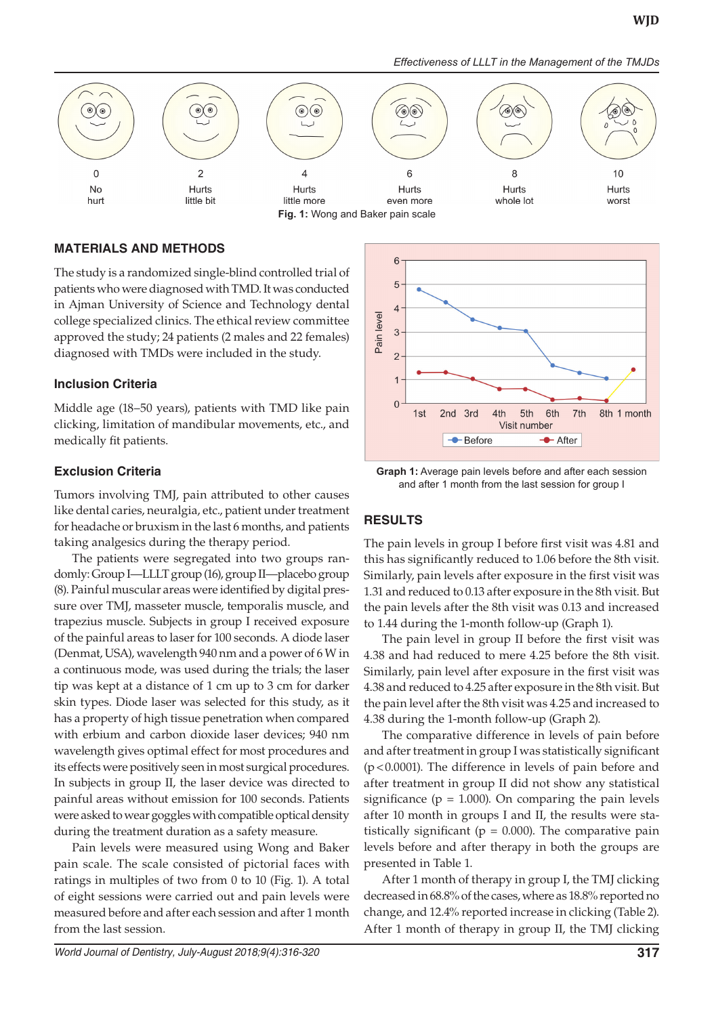*Effectiveness of LLLT in the Management of the TMJDs*



# **MATERIALS AND METHODS**

The study is a randomized single-blind controlled trial of patients who were diagnosed with TMD. It was conducted in Ajman University of Science and Technology dental college specialized clinics. The ethical review committee approved the study; 24 patients (2 males and 22 females) diagnosed with TMDs were included in the study.

## **Inclusion Criteria**

Middle age (18–50 years), patients with TMD like pain clicking, limitation of mandibular movements, etc., and medically fit patients.

# **Exclusion Criteria**

Tumors involving TMJ, pain attributed to other causes like dental caries, neuralgia, etc., patient under treatment for headache or bruxism in the last 6 months, and patients taking analgesics during the therapy period.

The patients were segregated into two groups randomly: Group I—LLLT group (16), group II—placebo group (8). Painful muscular areas were identified by digital pressure over TMJ, masseter muscle, temporalis muscle, and trapezius muscle. Subjects in group I received exposure of the painful areas to laser for 100 seconds. A diode laser (Denmat, USA), wavelength 940 nm and a power of 6 W in a continuous mode, was used during the trials; the laser tip was kept at a distance of 1 cm up to 3 cm for darker skin types. Diode laser was selected for this study, as it has a property of high tissue penetration when compared with erbium and carbon dioxide laser devices; 940 nm wavelength gives optimal effect for most procedures and its effects were positively seen in most surgical procedures. In subjects in group II, the laser device was directed to painful areas without emission for 100 seconds. Patients were asked to wear goggles with compatible optical density during the treatment duration as a safety measure.

Pain levels were measured using Wong and Baker pain scale. The scale consisted of pictorial faces with ratings in multiples of two from 0 to 10 (Fig. 1). A total of eight sessions were carried out and pain levels were measured before and after each session and after 1 month from the last session.



**Graph 1:** Average pain levels before and after each session and after 1 month from the last session for group I

## **RESULTS**

The pain levels in group I before first visit was 4.81 and this has significantly reduced to 1.06 before the 8th visit. Similarly, pain levels after exposure in the first visit was 1.31 and reduced to 0.13 after exposure in the 8th visit. But the pain levels after the 8th visit was 0.13 and increased to 1.44 during the 1-month follow-up (Graph 1).

The pain level in group II before the first visit was 4.38 and had reduced to mere 4.25 before the 8th visit. Similarly, pain level after exposure in the first visit was 4.38 and reduced to 4.25 after exposure in the 8th visit. But the pain level after the 8th visit was 4.25 and increased to 4.38 during the 1-month follow-up (Graph 2).

The comparative difference in levels of pain before and after treatment in group I was statistically significant (p<0.0001). The difference in levels of pain before and after treatment in group II did not show any statistical significance ( $p = 1.000$ ). On comparing the pain levels after 10 month in groups I and II, the results were statistically significant ( $p = 0.000$ ). The comparative pain levels before and after therapy in both the groups are presented in Table 1.

After 1 month of therapy in group I, the TMJ clicking decreased in 68.8% of the cases, where as 18.8% reported no change, and 12.4% reported increase in clicking (Table 2). After 1 month of therapy in group II, the TMJ clicking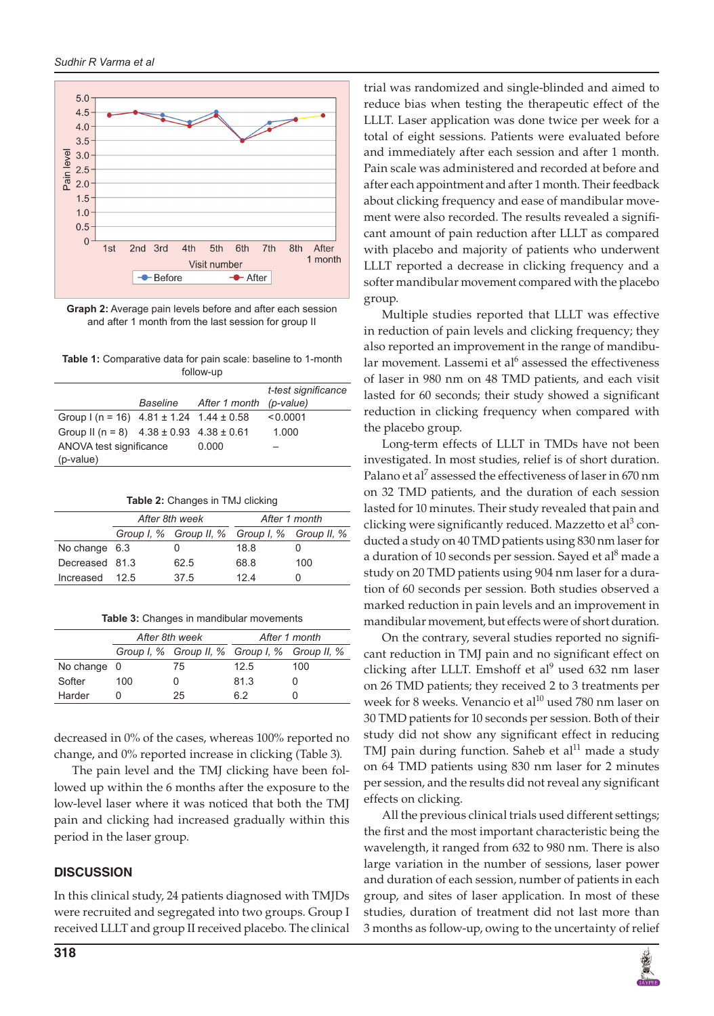

**Graph 2:** Average pain levels before and after each session and after 1 month from the last session for group II

**Table 1:** Comparative data for pain scale: baseline to 1-month follow-up

|                                                  | Baseline | After 1 month | t-test significance<br>$(p-value)$ |
|--------------------------------------------------|----------|---------------|------------------------------------|
| Group I (n = 16) $4.81 \pm 1.24$ 1.44 $\pm 0.58$ |          |               | < 0.0001                           |
| Group II (n = 8) $4.38 \pm 0.93$ 4.38 $\pm 0.61$ |          |               | 1.000                              |
| ANOVA test significance                          |          | 0.000         |                                    |
| (p-value)                                        |          |               |                                    |

**Table 2:** Changes in TMJ clicking

|                | After 8th week |                                               | After 1 month |     |
|----------------|----------------|-----------------------------------------------|---------------|-----|
|                |                | Group I, % Group II, % Group I, % Group II, % |               |     |
| No change 6.3  |                |                                               | 18.8          |     |
| Decreased 81.3 |                | 62.5                                          | 68.8          | 100 |
| Increased      | 12.5           | 37.5                                          | 124           |     |

**Table 3:** Changes in mandibular movements

|             | After 8th week |                                               | After 1 month |     |
|-------------|----------------|-----------------------------------------------|---------------|-----|
|             |                | Group I, % Group II, % Group I, % Group II, % |               |     |
| No change 0 |                | 75                                            | 12.5          | 100 |
| Softer      | 100            |                                               | 81.3          |     |
| Harder      |                | 25                                            | 62            |     |

decreased in 0% of the cases, whereas 100% reported no change, and 0% reported increase in clicking (Table 3).

The pain level and the TMJ clicking have been followed up within the 6 months after the exposure to the low-level laser where it was noticed that both the TMJ pain and clicking had increased gradually within this period in the laser group.

#### **DISCUSSION**

In this clinical study, 24 patients diagnosed with TMJDs were recruited and segregated into two groups. Group I received LLLT and group II received placebo. The clinical trial was randomized and single-blinded and aimed to reduce bias when testing the therapeutic effect of the LLLT. Laser application was done twice per week for a total of eight sessions. Patients were evaluated before and immediately after each session and after 1 month. Pain scale was administered and recorded at before and after each appointment and after 1 month. Their feedback about clicking frequency and ease of mandibular movement were also recorded. The results revealed a significant amount of pain reduction after LLLT as compared with placebo and majority of patients who underwent LLLT reported a decrease in clicking frequency and a softer mandibular movement compared with the placebo group.

Multiple studies reported that LLLT was effective in reduction of pain levels and clicking frequency; they also reported an improvement in the range of mandibular movement. Lassemi et al<sup>6</sup> assessed the effectiveness of laser in 980 nm on 48 TMD patients, and each visit lasted for 60 seconds; their study showed a significant reduction in clicking frequency when compared with the placebo group.

Long-term effects of LLLT in TMDs have not been investigated. In most studies, relief is of short duration. Palano et al<sup>7</sup> assessed the effectiveness of laser in 670 nm on 32 TMD patients, and the duration of each session lasted for 10 minutes. Their study revealed that pain and clicking were significantly reduced. Mazzetto et al<sup>3</sup> conducted a study on 40 TMD patients using 830 nm laser for a duration of 10 seconds per session. Sayed et al<sup>8</sup> made a study on 20 TMD patients using 904 nm laser for a duration of 60 seconds per session. Both studies observed a marked reduction in pain levels and an improvement in mandibular movement, but effects were of short duration.

On the contrary, several studies reported no significant reduction in TMJ pain and no significant effect on clicking after LLLT. Emshoff et al<sup>9</sup> used 632 nm laser on 26 TMD patients; they received 2 to 3 treatments per week for 8 weeks. Venancio et al $^{10}$  used 780 nm laser on 30 TMD patients for 10 seconds per session. Both of their study did not show any significant effect in reducing TMJ pain during function. Saheb et al<sup>11</sup> made a study on 64 TMD patients using 830 nm laser for 2 minutes per session, and the results did not reveal any significant effects on clicking.

All the previous clinical trials used different settings; the first and the most important characteristic being the wavelength, it ranged from 632 to 980 nm. There is also large variation in the number of sessions, laser power and duration of each session, number of patients in each group, and sites of laser application. In most of these studies, duration of treatment did not last more than 3 months as follow-up, owing to the uncertainty of relief

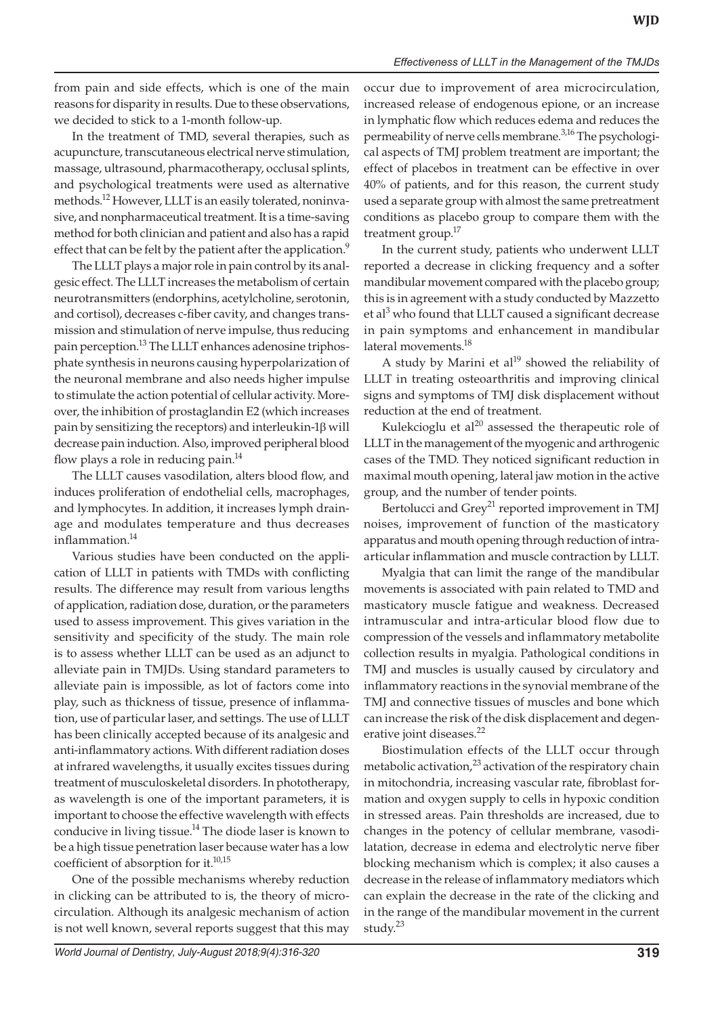from pain and side effects, which is one of the main reasons for disparity in results. Due to these observations, we decided to stick to a 1-month follow-up.

In the treatment of TMD, several therapies, such as acupuncture, transcutaneous electrical nerve stimulation, massage, ultrasound, pharmacotherapy, occlusal splints, and psychological treatments were used as alternative methods.<sup>12</sup> However, LLLT is an easily tolerated, noninvasive, and nonpharmaceutical treatment. It is a time-saving method for both clinician and patient and also has a rapid effect that can be felt by the patient after the application.<sup>9</sup>

The LLLT plays a major role in pain control by its analgesic effect. The LLLT increases the metabolism of certain neurotransmitters (endorphins, acetylcholine, serotonin, and cortisol), decreases c-fiber cavity, and changes transmission and stimulation of nerve impulse, thus reducing pain perception.<sup>13</sup> The LLLT enhances adenosine triphosphate synthesis in neurons causing hyperpolarization of the neuronal membrane and also needs higher impulse to stimulate the action potential of cellular activity. Moreover, the inhibition of prostaglandin E2 (which increases pain by sensitizing the receptors) and interleukin-1β will decrease pain induction. Also, improved peripheral blood flow plays a role in reducing pain.<sup>14</sup>

The LLLT causes vasodilation, alters blood flow, and induces proliferation of endothelial cells, macrophages, and lymphocytes. In addition, it increases lymph drainage and modulates temperature and thus decreases inflammation. $^{14}$ 

Various studies have been conducted on the application of LLLT in patients with TMDs with conflicting results. The difference may result from various lengths of application, radiation dose, duration, or the parameters used to assess improvement. This gives variation in the sensitivity and specificity of the study. The main role is to assess whether LLLT can be used as an adjunct to alleviate pain in TMJDs. Using standard parameters to alleviate pain is impossible, as lot of factors come into play, such as thickness of tissue, presence of inflammation, use of particular laser, and settings. The use of LLLT has been clinically accepted because of its analgesic and anti-inflammatory actions. With different radiation doses at infrared wavelengths, it usually excites tissues during treatment of musculoskeletal disorders. In phototherapy, as wavelength is one of the important parameters, it is important to choose the effective wavelength with effects conducive in living tissue.<sup>14</sup> The diode laser is known to be a high tissue penetration laser because water has a low coefficient of absorption for it.10,15

One of the possible mechanisms whereby reduction in clicking can be attributed to is, the theory of microcirculation. Although its analgesic mechanism of action is not well known, several reports suggest that this may occur due to improvement of area microcirculation, increased release of endogenous epione, or an increase in lymphatic flow which reduces edema and reduces the permeability of nerve cells membrane.<sup>3,16</sup> The psychological aspects of TMJ problem treatment are important; the effect of placebos in treatment can be effective in over 40% of patients, and for this reason, the current study used a separate group with almost the same pretreatment conditions as placebo group to compare them with the treatment group.<sup>17</sup>

In the current study, patients who underwent LLLT reported a decrease in clicking frequency and a softer mandibular movement compared with the placebo group; this is in agreement with a study conducted by Mazzetto et al<sup>3</sup> who found that LLLT caused a significant decrease in pain symptoms and enhancement in mandibular lateral movements.<sup>18</sup>

A study by Marini et  $al^{19}$  showed the reliability of LLLT in treating osteoarthritis and improving clinical signs and symptoms of TMJ disk displacement without reduction at the end of treatment.

Kulekcioglu et al $^{20}$  assessed the therapeutic role of LLLT in the management of the myogenic and arthrogenic cases of the TMD. They noticed significant reduction in maximal mouth opening, lateral jaw motion in the active group, and the number of tender points.

Bertolucci and Grey<sup>21</sup> reported improvement in TMJ noises, improvement of function of the masticatory apparatus and mouth opening through reduction of intraarticular inflammation and muscle contraction by LLLT.

Myalgia that can limit the range of the mandibular movements is associated with pain related to TMD and masticatory muscle fatigue and weakness. Decreased intramuscular and intra-articular blood flow due to compression of the vessels and inflammatory metabolite collection results in myalgia. Pathological conditions in TMJ and muscles is usually caused by circulatory and inflammatory reactions in the synovial membrane of the TMJ and connective tissues of muscles and bone which can increase the risk of the disk displacement and degenerative joint diseases.<sup>22</sup>

Biostimulation effects of the LLLT occur through metabolic activation, $^{23}$  activation of the respiratory chain in mitochondria, increasing vascular rate, fibroblast formation and oxygen supply to cells in hypoxic condition in stressed areas. Pain thresholds are increased, due to changes in the potency of cellular membrane, vasodilatation, decrease in edema and electrolytic nerve fiber blocking mechanism which is complex; it also causes a decrease in the release of inflammatory mediators which can explain the decrease in the rate of the clicking and in the range of the mandibular movement in the current study.<sup>23</sup>